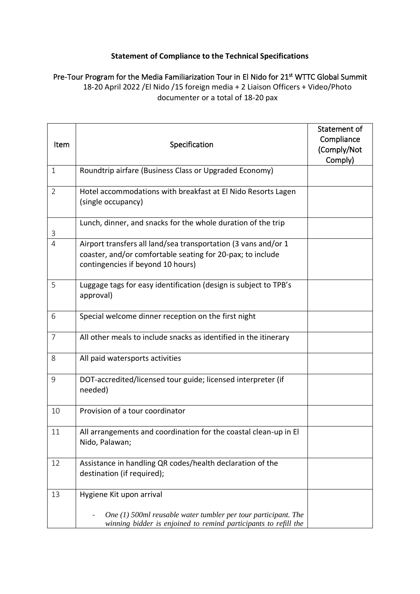## **Statement of Compliance to the Technical Specifications**

Pre-Tour Program for the Media Familiarization Tour in El Nido for 21<sup>st</sup> WTTC Global Summit 18-20 April 2022 /El Nido /15 foreign media + 2 Liaison Officers + Video/Photo documenter or a total of 18-20 pax

| Item           | Specification                                                                                                                                                     | Statement of<br>Compliance<br>(Comply/Not<br>Comply) |
|----------------|-------------------------------------------------------------------------------------------------------------------------------------------------------------------|------------------------------------------------------|
| $\mathbf{1}$   | Roundtrip airfare (Business Class or Upgraded Economy)                                                                                                            |                                                      |
| $\overline{2}$ | Hotel accommodations with breakfast at El Nido Resorts Lagen<br>(single occupancy)                                                                                |                                                      |
| 3              | Lunch, dinner, and snacks for the whole duration of the trip                                                                                                      |                                                      |
| $\overline{4}$ | Airport transfers all land/sea transportation (3 vans and/or 1<br>coaster, and/or comfortable seating for 20-pax; to include<br>contingencies if beyond 10 hours) |                                                      |
| 5              | Luggage tags for easy identification (design is subject to TPB's<br>approval)                                                                                     |                                                      |
| 6              | Special welcome dinner reception on the first night                                                                                                               |                                                      |
| $\overline{7}$ | All other meals to include snacks as identified in the itinerary                                                                                                  |                                                      |
| 8              | All paid watersports activities                                                                                                                                   |                                                      |
| 9              | DOT-accredited/licensed tour guide; licensed interpreter (if<br>needed)                                                                                           |                                                      |
| 10             | Provision of a tour coordinator                                                                                                                                   |                                                      |
| 11             | All arrangements and coordination for the coastal clean-up in El<br>Nido, Palawan;                                                                                |                                                      |
| 12             | Assistance in handling QR codes/health declaration of the<br>destination (if required);                                                                           |                                                      |
| 13             | Hygiene Kit upon arrival                                                                                                                                          |                                                      |
|                | One $(1)$ 500ml reusable water tumbler per tour participant. The<br>winning bidder is enjoined to remind participants to refill the                               |                                                      |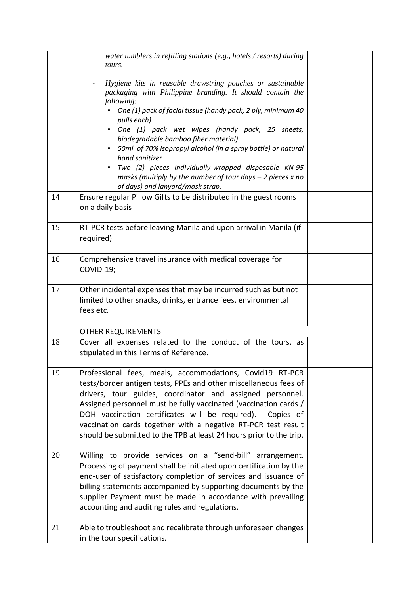|    | water tumblers in refilling stations (e.g., hotels / resorts) during<br>tours.                                                                                                                                                                                                                                                                                                                                                                                        |  |
|----|-----------------------------------------------------------------------------------------------------------------------------------------------------------------------------------------------------------------------------------------------------------------------------------------------------------------------------------------------------------------------------------------------------------------------------------------------------------------------|--|
|    | Hygiene kits in reusable drawstring pouches or sustainable<br>packaging with Philippine branding. It should contain the<br>following:                                                                                                                                                                                                                                                                                                                                 |  |
|    | One (1) pack of facial tissue (handy pack, 2 ply, minimum 40<br>pulls each)                                                                                                                                                                                                                                                                                                                                                                                           |  |
|    | One (1) pack wet wipes (handy pack, 25 sheets,<br>biodegradable bamboo fiber material)                                                                                                                                                                                                                                                                                                                                                                                |  |
|    | 50ml. of 70% isopropyl alcohol (in a spray bottle) or natural<br>hand sanitizer                                                                                                                                                                                                                                                                                                                                                                                       |  |
|    | Two (2) pieces individually-wrapped disposable KN-95<br>masks (multiply by the number of tour days $-$ 2 pieces x no<br>of days) and lanyard/mask strap.                                                                                                                                                                                                                                                                                                              |  |
| 14 | Ensure regular Pillow Gifts to be distributed in the guest rooms<br>on a daily basis                                                                                                                                                                                                                                                                                                                                                                                  |  |
| 15 | RT-PCR tests before leaving Manila and upon arrival in Manila (if<br>required)                                                                                                                                                                                                                                                                                                                                                                                        |  |
| 16 | Comprehensive travel insurance with medical coverage for<br>COVID-19;                                                                                                                                                                                                                                                                                                                                                                                                 |  |
| 17 | Other incidental expenses that may be incurred such as but not<br>limited to other snacks, drinks, entrance fees, environmental<br>fees etc.                                                                                                                                                                                                                                                                                                                          |  |
|    | <b>OTHER REQUIREMENTS</b>                                                                                                                                                                                                                                                                                                                                                                                                                                             |  |
| 18 | Cover all expenses related to the conduct of the tours, as<br>stipulated in this Terms of Reference.                                                                                                                                                                                                                                                                                                                                                                  |  |
| 19 | Professional fees, meals, accommodations, Covid19 RT-PCR<br>tests/border antigen tests, PPEs and other miscellaneous fees of<br>drivers, tour guides, coordinator and assigned personnel.<br>Assigned personnel must be fully vaccinated (vaccination cards /<br>DOH vaccination certificates will be required).<br>Copies of<br>vaccination cards together with a negative RT-PCR test result<br>should be submitted to the TPB at least 24 hours prior to the trip. |  |
| 20 | Willing to provide services on a "send-bill" arrangement.<br>Processing of payment shall be initiated upon certification by the<br>end-user of satisfactory completion of services and issuance of<br>billing statements accompanied by supporting documents by the<br>supplier Payment must be made in accordance with prevailing<br>accounting and auditing rules and regulations.                                                                                  |  |
| 21 | Able to troubleshoot and recalibrate through unforeseen changes<br>in the tour specifications.                                                                                                                                                                                                                                                                                                                                                                        |  |